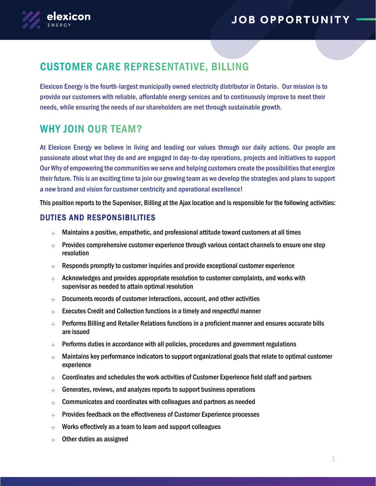

# **CUSTOMER CARE REPRESENTATIVE, BILLING**

Elexicon Energy is the fourth-largest municipally owned electricity distributor in Ontario. Our mission is to provide our customers with reliable, affordable energy services and to continuously improve to meet their needs, while ensuring the needs of our shareholders are met through sustainable growth.

### **WHY JOIN OUR TEAM?**

At Elexicon Energy we believe in living and leading our values through our daily actions. Our people are passionate about what they do and are engaged in day-to-day operations, projects and initiatives to support Our Why of empowering the communities we serve and helping customers create the possibilities that energize their future. This is an exciting time to join our growing team as we develop the strategies and plans to support a new brand and vision for customer centricity and operational excellence!

This position reports to the Supervisor, Billing at the Ajax location and is responsible for the following activities:

### DUTIES AND RESPONSIBILITIES

- $+$  Maintains a positive, empathetic, and professional attitude toward customers at all times
- $+$  Provides comprehensive customer experience through various contact channels to ensure one stop resolution
- $+$  Responds promptly to customer inquiries and provide exceptional customer experience
- $+$  Acknowledges and provides appropriate resolution to customer complaints, and works with supervisor as needed to attain optimal resolution
- $+$  Documents records of customer interactions, account, and other activities
- $+$  Executes Credit and Collection functions in a timely and respectful manner
- $+$  Performs Billing and Retailer Relations functions in a proficient manner and ensures accurate bills are issued
- $+$  Performs duties in accordance with all policies, procedures and government regulations
- $+$  Maintains key performance indicators to support organizational goals that relate to optimal customer experience
- $+$  Coordinates and schedules the work activities of Customer Experience field staff and partners
- $+$  Generates, reviews, and analyzes reports to support business operations
- $+$  Communicates and coordinates with colleagues and partners as needed
- $+$  Provides feedback on the effectiveness of Customer Experience processes
- $+$  Works effectively as a team to learn and support colleagues
- $+$  Other duties as assigned